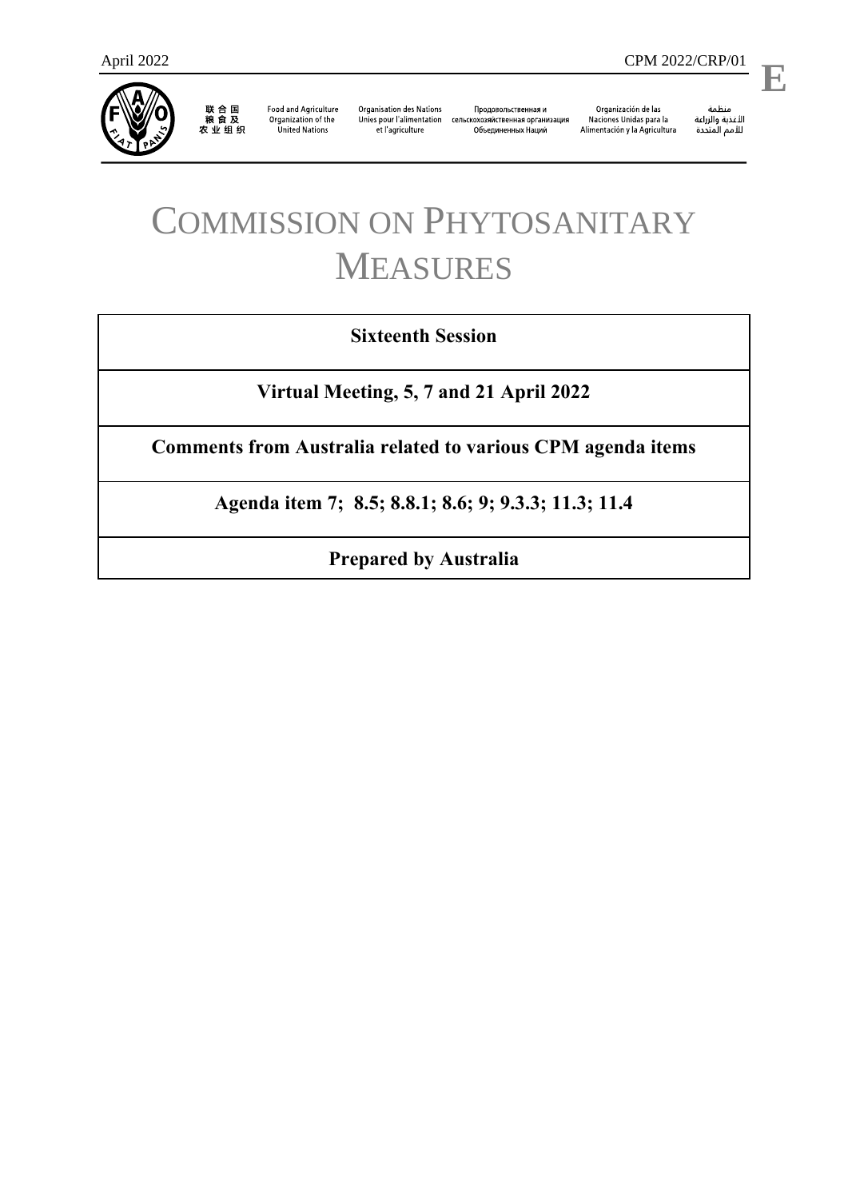

联合国<br>粮食及<br>农业组织

**Food and Agriculture** Organization of the **United Nations** 

**Organisation des Nations** et l'agriculture

Продовольственная и Unies pour l'alimentation сельскохозяйственная организация Объединенных Наций

Organización de las<br>Naciones Unidas para la Alimentación y la Agricultura

منظمة ستنسه<br>الأغذية والزراعة<br>للأمم المتددة

l,

# COMMISSION ON PHYTOSANITARY MEASURES

## **Sixteenth Session**

**Virtual Meeting, 5, 7 and 21 April 2022**

**Comments from Australia related to various CPM agenda items**

**Agenda item 7; 8.5; 8.8.1; 8.6; 9; 9.3.3; 11.3; 11.4**

**Prepared by Australia**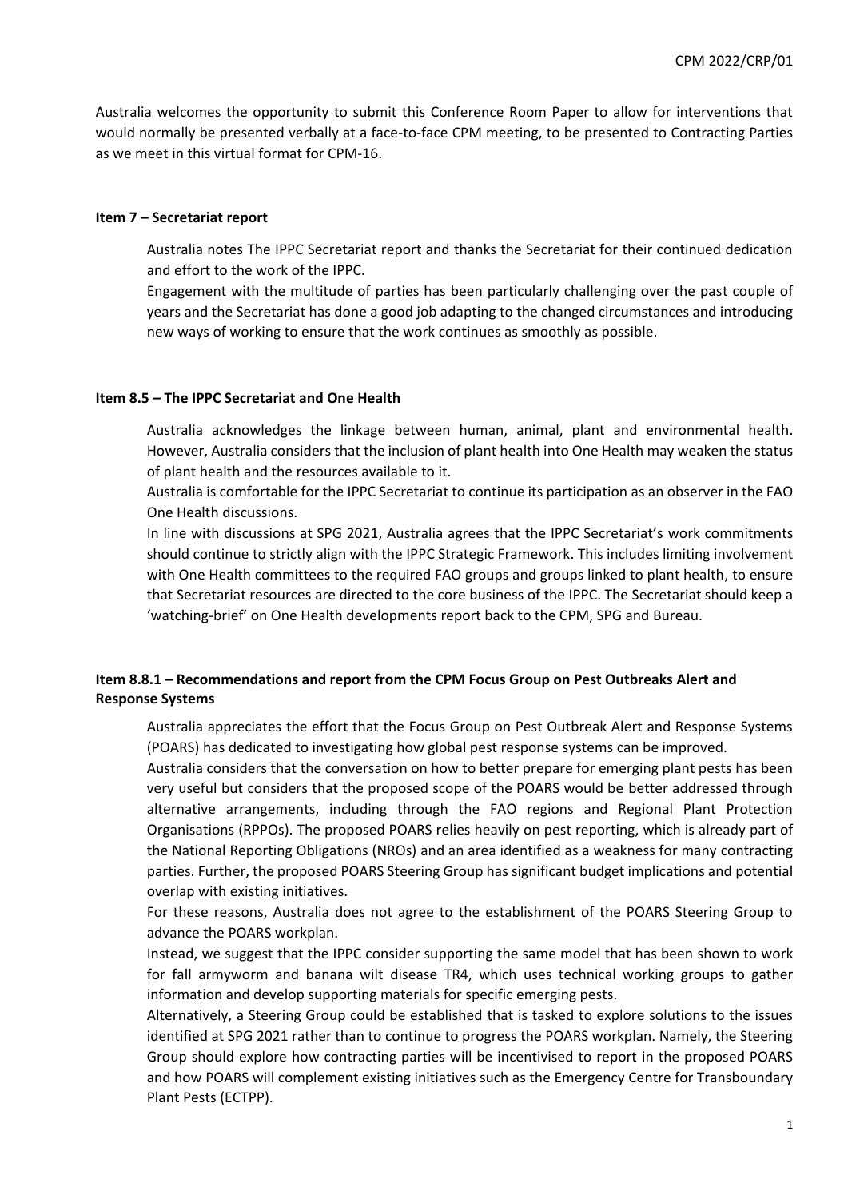Australia welcomes the opportunity to submit this Conference Room Paper to allow for interventions that would normally be presented verbally at a face-to-face CPM meeting, to be presented to Contracting Parties as we meet in this virtual format for CPM-16.

#### **Item 7 – Secretariat report**

Australia notes The IPPC Secretariat report and thanks the Secretariat for their continued dedication and effort to the work of the IPPC.

Engagement with the multitude of parties has been particularly challenging over the past couple of years and the Secretariat has done a good job adapting to the changed circumstances and introducing new ways of working to ensure that the work continues as smoothly as possible.

#### **Item 8.5 – The IPPC Secretariat and One Health**

Australia acknowledges the linkage between human, animal, plant and environmental health. However, Australia considers that the inclusion of plant health into One Health may weaken the status of plant health and the resources available to it.

Australia is comfortable for the IPPC Secretariat to continue its participation as an observer in the FAO One Health discussions.

In line with discussions at SPG 2021, Australia agrees that the IPPC Secretariat's work commitments should continue to strictly align with the IPPC Strategic Framework. This includes limiting involvement with One Health committees to the required FAO groups and groups linked to plant health, to ensure that Secretariat resources are directed to the core business of the IPPC. The Secretariat should keep a 'watching-brief' on One Health developments report back to the CPM, SPG and Bureau.

#### **Item 8.8.1 – Recommendations and report from the CPM Focus Group on Pest Outbreaks Alert and Response Systems**

Australia appreciates the effort that the Focus Group on Pest Outbreak Alert and Response Systems (POARS) has dedicated to investigating how global pest response systems can be improved.

Australia considers that the conversation on how to better prepare for emerging plant pests has been very useful but considers that the proposed scope of the POARS would be better addressed through alternative arrangements, including through the FAO regions and Regional Plant Protection Organisations (RPPOs). The proposed POARS relies heavily on pest reporting, which is already part of the National Reporting Obligations (NROs) and an area identified as a weakness for many contracting parties. Further, the proposed POARS Steering Group has significant budget implications and potential overlap with existing initiatives.

For these reasons, Australia does not agree to the establishment of the POARS Steering Group to advance the POARS workplan.

Instead, we suggest that the IPPC consider supporting the same model that has been shown to work for fall armyworm and banana wilt disease TR4, which uses technical working groups to gather information and develop supporting materials for specific emerging pests.

Alternatively, a Steering Group could be established that is tasked to explore solutions to the issues identified at SPG 2021 rather than to continue to progress the POARS workplan. Namely, the Steering Group should explore how contracting parties will be incentivised to report in the proposed POARS and how POARS will complement existing initiatives such as the Emergency Centre for Transboundary Plant Pests (ECTPP).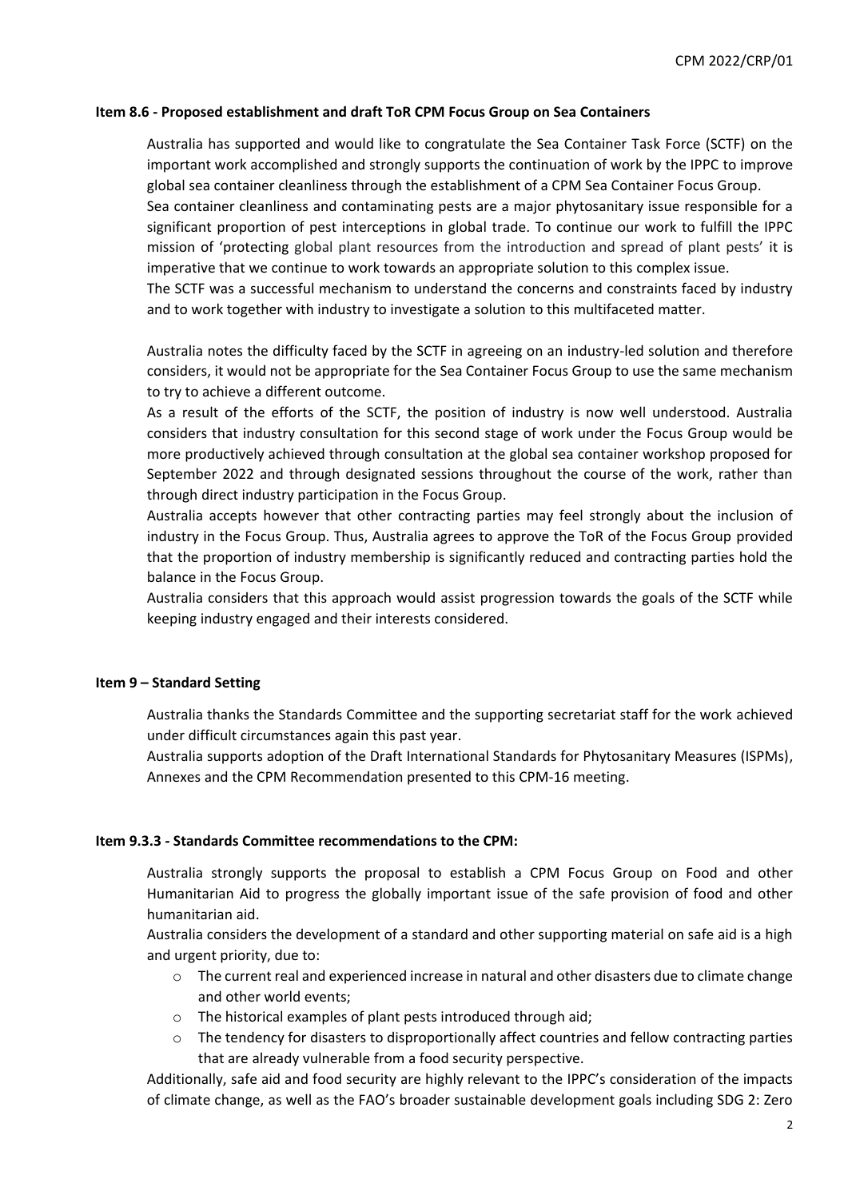#### **Item 8.6 - Proposed establishment and draft ToR CPM Focus Group on Sea Containers**

Australia has supported and would like to congratulate the Sea Container Task Force (SCTF) on the important work accomplished and strongly supports the continuation of work by the IPPC to improve global sea container cleanliness through the establishment of a CPM Sea Container Focus Group.

Sea container cleanliness and contaminating pests are a major phytosanitary issue responsible for a significant proportion of pest interceptions in global trade. To continue our work to fulfill the IPPC mission of 'protecting global plant resources from the introduction and spread of plant pests' it is imperative that we continue to work towards an appropriate solution to this complex issue.

The SCTF was a successful mechanism to understand the concerns and constraints faced by industry and to work together with industry to investigate a solution to this multifaceted matter.

Australia notes the difficulty faced by the SCTF in agreeing on an industry-led solution and therefore considers, it would not be appropriate for the Sea Container Focus Group to use the same mechanism to try to achieve a different outcome.

As a result of the efforts of the SCTF, the position of industry is now well understood. Australia considers that industry consultation for this second stage of work under the Focus Group would be more productively achieved through consultation at the global sea container workshop proposed for September 2022 and through designated sessions throughout the course of the work, rather than through direct industry participation in the Focus Group.

Australia accepts however that other contracting parties may feel strongly about the inclusion of industry in the Focus Group. Thus, Australia agrees to approve the ToR of the Focus Group provided that the proportion of industry membership is significantly reduced and contracting parties hold the balance in the Focus Group.

Australia considers that this approach would assist progression towards the goals of the SCTF while keeping industry engaged and their interests considered.

#### **Item 9 – Standard Setting**

Australia thanks the Standards Committee and the supporting secretariat staff for the work achieved under difficult circumstances again this past year.

Australia supports adoption of the Draft International Standards for Phytosanitary Measures (ISPMs), Annexes and the CPM Recommendation presented to this CPM-16 meeting.

#### **Item 9.3.3 - Standards Committee recommendations to the CPM:**

Australia strongly supports the proposal to establish a CPM Focus Group on Food and other Humanitarian Aid to progress the globally important issue of the safe provision of food and other humanitarian aid.

Australia considers the development of a standard and other supporting material on safe aid is a high and urgent priority, due to:

- $\circ$  The current real and experienced increase in natural and other disasters due to climate change and other world events;
- o The historical examples of plant pests introduced through aid;
- $\circ$  The tendency for disasters to disproportionally affect countries and fellow contracting parties that are already vulnerable from a food security perspective.

Additionally, safe aid and food security are highly relevant to the IPPC's consideration of the impacts of climate change, as well as the FAO's broader sustainable development goals including SDG 2: Zero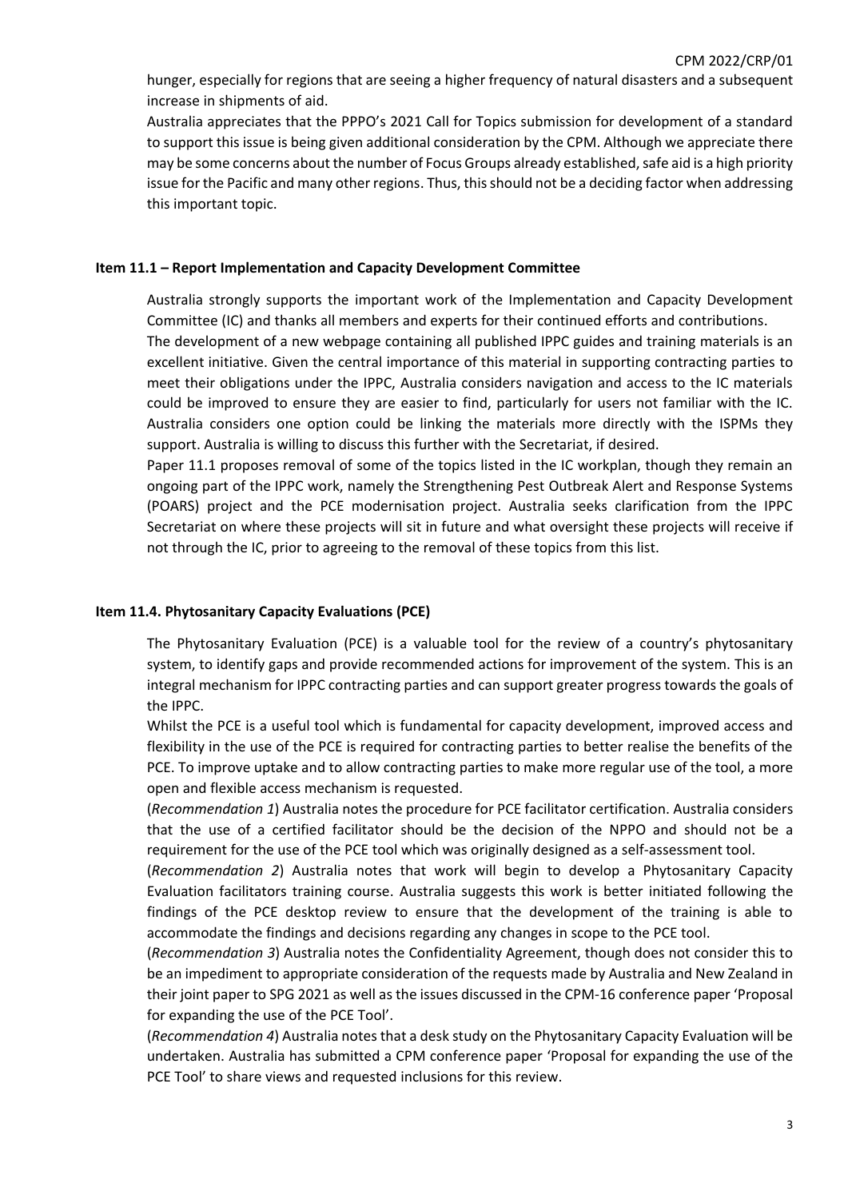hunger, especially for regions that are seeing a higher frequency of natural disasters and a subsequent increase in shipments of aid.

Australia appreciates that the PPPO's 2021 Call for Topics submission for development of a standard to support this issue is being given additional consideration by the CPM. Although we appreciate there may be some concerns about the number of Focus Groups already established, safe aid is a high priority issue for the Pacific and many other regions. Thus, this should not be a deciding factor when addressing this important topic.

#### **Item 11.1 – Report Implementation and Capacity Development Committee**

Australia strongly supports the important work of the Implementation and Capacity Development Committee (IC) and thanks all members and experts for their continued efforts and contributions. The development of a new webpage containing all published IPPC guides and training materials is an excellent initiative. Given the central importance of this material in supporting contracting parties to meet their obligations under the IPPC, Australia considers navigation and access to the IC materials could be improved to ensure they are easier to find, particularly for users not familiar with the IC. Australia considers one option could be linking the materials more directly with the ISPMs they support. Australia is willing to discuss this further with the Secretariat, if desired.

Paper 11.1 proposes removal of some of the topics listed in the IC workplan, though they remain an ongoing part of the IPPC work, namely the Strengthening Pest Outbreak Alert and Response Systems (POARS) project and the PCE modernisation project. Australia seeks clarification from the IPPC Secretariat on where these projects will sit in future and what oversight these projects will receive if not through the IC, prior to agreeing to the removal of these topics from this list.

### **Item 11.4. Phytosanitary Capacity Evaluations (PCE)**

The Phytosanitary Evaluation (PCE) is a valuable tool for the review of a country's phytosanitary system, to identify gaps and provide recommended actions for improvement of the system. This is an integral mechanism for IPPC contracting parties and can support greater progress towards the goals of the IPPC.

Whilst the PCE is a useful tool which is fundamental for capacity development, improved access and flexibility in the use of the PCE is required for contracting parties to better realise the benefits of the PCE. To improve uptake and to allow contracting parties to make more regular use of the tool, a more open and flexible access mechanism is requested.

(*Recommendation 1*) Australia notes the procedure for PCE facilitator certification. Australia considers that the use of a certified facilitator should be the decision of the NPPO and should not be a requirement for the use of the PCE tool which was originally designed as a self-assessment tool.

(*Recommendation 2*) Australia notes that work will begin to develop a Phytosanitary Capacity Evaluation facilitators training course. Australia suggests this work is better initiated following the findings of the PCE desktop review to ensure that the development of the training is able to accommodate the findings and decisions regarding any changes in scope to the PCE tool.

(*Recommendation 3*) Australia notes the Confidentiality Agreement, though does not consider this to be an impediment to appropriate consideration of the requests made by Australia and New Zealand in their joint paper to SPG 2021 as well as the issues discussed in the CPM-16 conference paper 'Proposal for expanding the use of the PCE Tool'.

(*Recommendation 4*) Australia notes that a desk study on the Phytosanitary Capacity Evaluation will be undertaken. Australia has submitted a CPM conference paper 'Proposal for expanding the use of the PCE Tool' to share views and requested inclusions for this review.